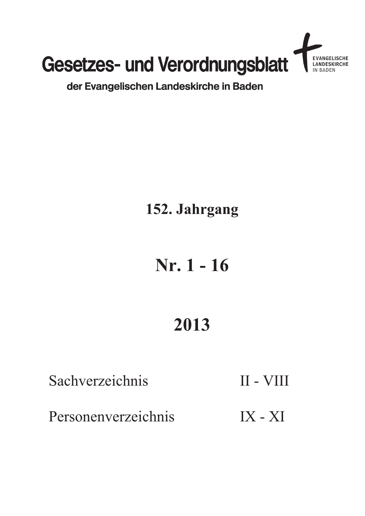

## der Evangelischen Landeskirche in Baden

## 152. Jahrgang

# Nr. 1 - 16

# 2013

Sachverzeichnis

Personenverzeichnis

II - VIII

 $IX - XI$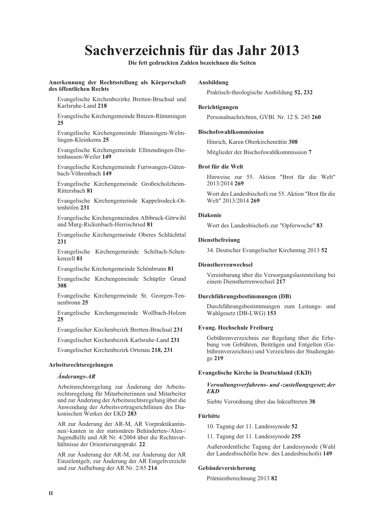## Sachverzeichnis für das Jahr 2013

Die fett gedruckten Zahlen bezeichnen die Seiten

#### Anerkennung der Rechtsstellung als Körperschaft des öffentlichen Rechts

Evangelische Kirchenbezirke Bretten-Bruchsal und Karlsruhe-Land 218

Evangelische Kirchengemeinde Binzen-Rümmingen  $25$ 

Evangelische Kirchengemeinde Blansingen-Welmlingen-Kleinkems 25

Evangelische Kirchengemeinde Ellmendingen-Dietenhausen-Weiler 149

Evangelische Kirchengemeinde Furtwangen-Gütenbach-Vöhrenbach 149

Evangelische Kirchengemeinde Großeicholzheim-Rittersbach 81

Evangelische Kirchengemeinde Kappelrodeck-Ottenhöfen 231

Evangelische Kirchengemeinden Albbruck-Görwihl und Murg-Rickenbach-Herrischried 81

Evangelische Kirchengemeinde Oberes Schlüchttal 231

Evangelische Kirchengemeinde Schiltach-Schenkenzell 81

Evangelische Kirchengemeinde Schönbrunn 81

Evangelische Kirchengemeinde Schüpfer Grund 308

Evangelische Kirchengemeinde St. Georgen-Tennenbronn 25

Evangelische Kirchengemeinde Wollbach-Holzen 25

Evangelischer Kirchenbezirk Bretten-Bruchsal 231

Evangelischer Kirchenbezirk Karlsruhe-Land 231

Evangelischer Kirchenbezirk Ortenau 218, 231

#### Arbeitsrechtsregelungen

#### **Änderungs-AR**

Arbeitsrechtsregelung zur Änderung der Arbeitsrechtsregelung für Mitarbeiterinnen und Mitarbeiter und zur Änderung der Arbeitsrechtsregelung über die Anwendung der Arbeitsvertragsrichtlinien des Diakonischen Werkes der EKD 283

AR zur Änderung der AR-M, AR Vorpraktikantinnen/-kanten in der stationären Behinderten-/Alen-/ Jugendhilfe und AR Nr. 4/2004 über die Rechtsverhältnisse der Orientierungsprakt. 22

AR zur Änderung der AR-M, zur Änderung der AR Einzelentgelt, zur Änderung der AR Entgeltverzicht und zur Aufhebung der AR Nr. 2/85 214

#### **Ausbildung**

Praktisch-theologische Ausbildung 52, 232

#### Berichtigungen

Personalnachrichten, GVBl. Nr. 12 S. 245 260

#### **Bischofswahlkommission**

Hinrich, Karen Oberkirchenrätin 308

Mitglieder der Bischofswahlkommission 7

#### **Brot für die Welt**

Hinweise zur 55. Aktion "Brot für die Welt" 2013/2014 269

Wort des Landesbischofs zur 55. Aktion "Brot für die Welt" 2013/2014 269

#### **Diakonie**

Wort des Landesbischofs zur "Opferwoche" 83

#### **Dienstbefreiung**

34. Deutscher Evangelischer Kirchentag 2013 52

#### **Dienstherrenwechsel**

Vereinbarung über die Versorgungslastenteilung bei einem Dienstherrenwechsel 217

#### Durchführungsbestimmungen (DB)

Durchführungsbestimmungen zum Leitungs- und Wahlgesetz (DB-LWG) 153

#### **Evang. Hochschule Freiburg**

Gebührenverzeichnis zur Regelung über die Erhebung von Gebühren, Beiträgen und Entgelten (Gebührenverzeichnis) und Verzeichnis der Studiengänge 219

#### **Evangelische Kirche in Deutschland (EKD)**

#### Verwaltungsverfahrens- und -zustellungsgesetz der **EKD**

Siebte Verordnung über das Inkrafttreten 38

#### **Fürbitte**

10. Tagung der 11. Landessynode 52

11. Tagung der 11. Landessynode 255

Außerordentliche Tagung der Landessynode (Wahl der Landesbischöfin bzw. des Landesbischofs) 149

#### Gebäudeversicherung

Prämienberechnung 2013 82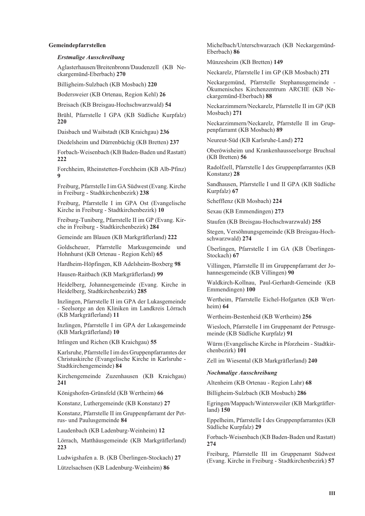#### Gemeindepfarrstellen

#### **Erstmalige Ausschreibung**

Aglasterhausen/Breitenbronn/Daudenzell (KB Neckargemünd-Eberbach) 270

Billigheim-Sulzbach (KB Mosbach) 220

Bodersweier (KB Ortenau, Region Kehl) 26

Breisach (KB Breisgau-Hochschwarzwald) 54

Brühl, Pfarrstelle I GPA (KB Südliche Kurpfalz) 220

Daisbach und Waibstadt (KB Kraichgau) 236

Diedelsheim und Dürrenbüchig (KB Bretten) 237

Forbach-Weisenbach (KB Baden-Baden und Rastatt) 222

Forchheim, Rheinstetten-Forchheim (KB Alb-Pfinz)  $\bf{Q}$ 

Freiburg, Pfarrstelle I im GA Südwest (Evang. Kirche in Freiburg - Stadtkirchenbezirk) 238

Freiburg, Pfarrstelle I im GPA Ost (Evangelische Kirche in Freiburg - Stadtkirchenbezirk) 10

Freiburg-Tuniberg, Pfarrstelle II im GP (Evang, Kirche in Freiburg - Stadtkirchenbezirk) 284

Gemeinde am Blauen (KB Markgräflerland) 222

Goldscheuer, Pfarrstelle Markusgemeinde und Hohnhurst (KB Ortenau - Region Kehl) 65

Hardheim-Höpfingen, KB Adelsheim-Boxberg 98

Hausen-Raitbach (KB Markgräflerland) 99

Heidelberg, Johannesgemeinde (Evang. Kirche in Heidelberg, Stadtkirchenbezirk) 285

Inzlingen, Pfarrstelle II im GPA der Lukasgemeinde - Seelsorge an den Kliniken im Landkreis Lörrach (KB Markgräflerland) 11

Inzlingen, Pfarrstelle I im GPA der Lukasgemeinde (KB Markgräflerland) 10

Ittlingen und Richen (KB Kraichgau) 55

Karlsruhe, Pfarrstelle I im des Gruppenpfarramtes der Christuskirche (Evangelische Kirche in Karlsruhe -Stadtkirchengemeinde) 84

Kirchengemeinde Zuzenhausen (KB Kraichgau) 241

Königshofen-Grünsfeld (KB Wertheim) 66

Konstanz, Luthergemeinde (KB Konstanz) 27

Konstanz, Pfarrstelle II im Gruppenpfarramt der Petrus- und Paulusgemeinde 84

Laudenbach (KB Ladenburg-Weinheim) 12

Lörrach, Matthäusgemeinde (KB Markgräflerland) 223

Ludwigshafen a. B. (KB Überlingen-Stockach) 27

Lützelsachsen (KB Ladenburg-Weinheim) 86

Michelbach/Unterschwarzach (KB Neckargemünd-Eherbach) 86

Münzesheim (KB Bretten) 149

Neckarelz, Pfarrstelle I im GP (KB Mosbach) 271

Neckargemünd, Pfarrstelle Stephanusgemeinde -Ökumenisches Kirchenzentrum ARCHE (KB Neckargemünd-Eberbach) 88

Neckarzimmern/Neckarelz, Pfarrstelle II im GP (KB Mosbach) 271

Neckarzimmern/Neckarelz, Pfarrstelle II im Gruppenpfarramt (KB Mosbach) 89

Neureut-Süd (KB Karlsruhe-Land) 272

Oberöwisheim und Krankenhausseelsorge Bruchsal (KB Bretten) 56

Radolfzell, Pfarrstelle I des Gruppenpfarramtes (KB Konstanz) 28

Sandhausen, Pfarrstelle I und II GPA (KB Südliche Kurpfalz) 67

Schefflenz (KB Mosbach) 224

Sexau (KB Emmendingen) 273

Staufen (KB Breisgau-Hochschwarzwald) 255

Stegen, Versöhnungsgemeinde (KB Breisgau-Hochschwarzwald) 274

Überlingen, Pfarrstelle I im GA (KB Überlingen-Stockach) 67

Villingen, Pfarrstelle II im Gruppenpfarramt der Johannesgemeinde (KB Villingen) 90

Waldkirch-Kollnau, Paul-Gerhardt-Gemeinde (KB Emmendingen) 100

Wertheim, Pfarrstelle Eichel-Hofgarten (KB Wert $heim)$  64

Wertheim-Bestenheid (KB Wertheim) 256

Wiesloch, Pfarrstelle I im Gruppenamt der Petrusgemeinde (KB Südliche Kurpfalz) 91

Würm (Evangelische Kirche in Pforzheim - Stadtkirchenbezirk) 101

Zell im Wiesental (KB Markgräflerland) 240

**Nochmalige Ausschreibung** 

Altenheim (KB Ortenau - Region Lahr) 68

Billigheim-Sulzbach (KB Mosbach) 286

Egringen/Mappach/Wintersweiler (KB Markgräfler $land)$  150

Eppelheim, Pfarrstelle I des Gruppenpfarramtes (KB Südliche Kurpfalz) 29

Forbach-Weisenbach (KB Baden-Baden und Rastatt) 274

Freiburg, Pfarrstelle III im Gruppenamt Südwest (Evang, Kirche in Freiburg - Stadtkirchenbezirk) 57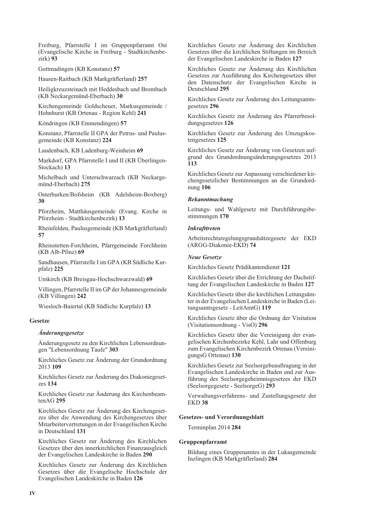Freiburg, Pfarrstelle I im Gruppenpfarramt Ost (Evangelische Kirche in Freiburg - Stadtkirchenbe $zirk$ ) 93

Gottmadingen (KB Konstanz) 57

Hausen-Raitbach (KB Markgräflerland) 257

Heiligkreuzsteinach mit Heddesbach und Brombach (KB Neckargemünd-Eberbach) 30

Kirchengemeinde Goldscheuer, Markusgemeinde / Hohnhurst (KB Ortenau - Region Kehl) 241

Köndringen (KB Emmendingen) 57

Konstanz, Pfarrstelle II GPA der Petrus- und Paulusgemeinde (KB Konstanz) 224

Laudenbach, KB Ladenburg-Weinheim 69

Markdorf, GPA Pfarrstelle I und II (KB Überlingen-Stockach) 13

Michelbach und Unterschwarzach (KB Neckargemünd-Eberbach) 275

Osterburken/Bofsheim (KB Adelsheim-Boxberg) 30

Pforzheim, Matthäusgemeinde (Evang. Kirche in Pforzheim - Stadtkirchenbezirk) 13

Rheinfelden, Paulusgemeinde (KB Markgräflerland) 57

Rheinstetten-Forchheim. Pfarrgemeinde Forchheim (KB Alb-Pfinz) 69

Sandhausen, Pfarrstelle I im GPA (KB Südliche Kurpfalz) 225

Umkirch (KB Breisgau-Hochschwarzwald) 69

Villingen, Pfarrstelle II im GP der Johannesgemeinde (KB Villingen) 242

Wiesloch-Baiertal (KB Südliche Kurpfalz) 13

#### **Gesetze**

#### *Änderungsgesetze*

Änderungsgesetz zu den Kirchlichen Lebensordnungen "Lebensordnung Taufe" 303

Kirchliches Gesetz zur Änderung der Grundordnung 2013 109

Kirchliches Gesetz zur Änderung des Diakoniegesetzes 134

Kirchliches Gesetz zur Änderung des Kirchenbeam $tenAG$  295

Kirchliches Gesetz zur Änderung des Kirchengesetzes über die Anwendung des Kirchengesetzes über Mitarbeitervertretungen in der Evangelischen Kirche in Deutschland 131

Kirchliches Gesetz zur Änderung des Kirchlichen Gesetzes über den innerkirchlichen Finanzausgleich der Evangelischen Landeskirche in Baden 290

Kirchliches Gesetz zur Änderung des Kirchlichen Gesetzes über die Evangelische Hochschule der Evangelischen Landeskirche in Baden 126

Kirchliches Gesetz zur Änderung des Kirchlichen Gesetzes über die kirchlichen Stiftungen im Bereich der Evangelischen Landeskirche in Baden 127

Kirchliches Gesetz zur Änderung des Kirchlichen Gesetzes zur Ausführung des Kirchengesetzes über den Datenschutz der Evangelischen Kirche in Deutschland 295

Kirchliches Gesetz zur Änderung des Leitungsamtsgesetzes 296

Kirchliches Gesetz zur Änderung des Pfarrerbesoldungsgesetzes 126

Kirchliches Gesetz zur Änderung des Umzugskostengesetzes 125

Kirchliches Gesetz zur Änderung von Gesetzen aufgrund des Grundordnungsänderungsgesetzes 2013 113

Kirchliches Gesetz zur Anpassung verschiedener kirchengesetzlicher Bestimmungen an die Grundordnung 106

#### **Bekanntmachung**

Leitungs- und Wahlgesetz mit Durchführungsbestimmungen 170

#### **Inkrafttreten**

Arbeitsrechtsregelungsgrundsätzegesetz der EKD (ARGG-Diakonie-EKD) 74

#### **Neue Gesetze**

Kirchliches Gesetz Prädikantendienst 121

Kirchliches Gesetz über die Errichtung der Dachstiftung der Evangelischen Landeskirche in Baden 127

Kirchliches Gesetz über die kirchlichen Leitungsämter in der Evangelischen Landeskirche in Baden (Leitungsamtsgesetz - LeitAmtG) 119

Kirchliches Gesetz über die Ordnung der Visitation (Visitationsordnung - VisO) 296

Kirchliches Gesetz über die Vereinigung der evangelischen Kirchenbezirke Kehl, Lahr und Offenburg zum Evangelischen Kirchenbezirk Ortenau (VereinigungsG Ortenau) 130

Kirchliches Gesetz zur Seelsorgebeauftragung in der Evangelischen Landeskirche in Baden und zur Ausführung des Seelsorgegeheimnisgesetzes der EKD (Seelsorgegesetz - SeelsorgeG) 293

Verwaltungsverfahrens- und Zustellungsgesetz der **EKD 38** 

#### **Gesetzes- und Verordnungsblatt**

Terminplan 2014 284

#### Gruppenpfarramt

Bildung eines Gruppenamtes in der Lukasgemeinde Inzlingen (KB Markgräflerland) 284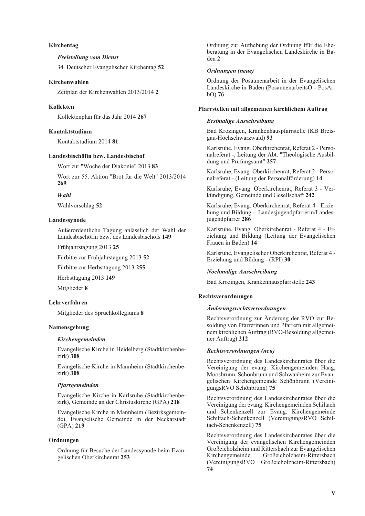#### Kirchentag

#### **Freistellung vom Dienst**

34. Deutscher Evangelischer Kirchentag 52

#### Kirchenwahlen

Zeitplan der Kirchenwahlen 2013/2014 2

#### **Kollekten**

Kollektenplan für das Jahr 2014 267

#### Kontaktstudium

Kontaktstudium 2014 81

#### Landesbischöfin bzw. Landesbischof

Wort zur "Woche der Diakonie" 2013 83

Wort zur 55. Aktion "Brot für die Welt" 2013/2014 269

#### $W$ ahl

Wahlvorschlag 52

#### Landessynode

Außerordentliche Tagung anlässlich der Wahl der Landesbischöfin bzw. des Landesbischofs 149

Frühjahrstagung 2013 25

Fürbitte zur Frühjahrstagung 2013 52

Fürbitte zur Herbsttagung 2013 255

Herbsttagung 2013 149

Mitglieder 8

#### Lehrverfahren

Mitglieder des Spruchkollegiums 8

#### Namensgebung

#### Kirchengemeinden

Evangelische Kirche in Heidelberg (Stadtkirchenbezirk) 308

Evangelische Kirche in Mannheim (Stadtkirchenbezirk) 308

#### Pfarrgemeinden

Evangelische Kirche in Karlsruhe (Stadtkirchenbezirk), Gemeinde an der Christuskirche (GPA) 218

Evangelische Kirche in Mannheim (Bezirksgemeinde). Evangelische Gemeinde in der Neckarstadt  $(GPA)$  219

#### Ordnungen

Ordnung für Besuche der Landessynode beim Evangelischen Oberkirchenrat 253

Ordnung zur Aufhebung der Ordnung lfür die Eheberatung in der Evangelischen Landeskirche in Baden 2

#### Ordnungen (neue)

Ordnung der Posaunenarbeit in der Evangelischen Landeskirche in Baden (PosaunenarbeitsO - PosAr $bO$ ) 76

#### Pfarrstellen mit allgemeinen kirchlichem Auftrag

#### **Erstmalige Ausschreibung**

Bad Krozingen, Krankenhauspfarrstelle (KB Breisgau-Hochschwarzwald) 93

Karlsruhe, Evang. Oberkirchenrat, Referat 2 - Personalreferat -, Leitung der Abt. "Theologische Ausbildung und Prüfungsamt" 257

Karlsruhe, Evang. Oberkirchenrat, Referat 2 - Personalreferat - (Leitung der Personalförderung) 14

Karlsruhe, Evang. Oberkirchenrat, Referat 3 - Verkündigung, Gemeinde und Gesellschaft 242

Karlsruhe, Evang. Oberkirchenrat, Referat 4 - Erziehung und Bildung -, Landesjugendpfarrerin/Landesjugendpfarrer 286

Karlsruhe, Evang. Oberkirchenrat - Referat 4 - Erziehung und Bildung (Leitung der Evangelischen Frauen in Baden) 14

Karlsruhe, Evangelischer Oberkirchenrat, Referat 4 -Erziehung und Bildung - (RPI) 30

#### **Nochmalige Ausschreibung**

Bad Krozingen, Krankenhauspfarrstelle 243

#### Rechtsverordnungen

#### Änderungsrechtsverordnungen

Rechtsverordnung zur Änderung der RVO zur Besoldung von Pfarrerinnen und Pfarrern mit allgemeinem kirchlichen Auftrag (RVO-Besoldung allgemeiner Auftrag) 212

#### Rechtsverordnungen (neu)

Rechtsverordnung des Landeskirchenrates über die Vereinigung der evang. Kirchengemeinden Haag, Moosbrunn, Schönbrunn und Schwanheim zur Evangelischen Kirchengemeinde Schönbrunn (VereinigungsRVO Schönbrunn) 75

Rechtsverordnung des Landeskirchenrates über die Vereinigung der evang. Kirchengemeinden Schiltach und Schenkenzell zur Evang. Kirchengemeinde Schiltach-Schenkenzell (VereinigungsRVO Schiltach-Schenkenzell) 75

Rechtsverordnung des Landeskirchenrates über die Vereinigung der evangelischen Kirchengemeinden Großeicholzheim und Rittersbach zur Evangelischen Kirchengemeinde Großeicholzheim-Rittersbach (VereinigungsRVO Großeicholzheim-Rittersbach) 74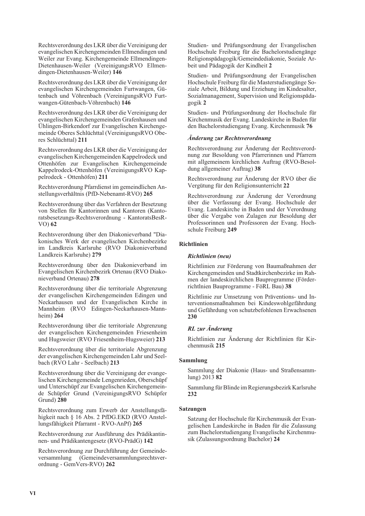Rechtsverordnung des LKR über die Vereinigung der evangelischen Kirchengemeinden Ellmendingen und Weiler zur Evang. Kirchengemeinde Ellmendingen-Dietenhausen-Weiler (VereinigungsRVO Ellmendingen-Dietenhausen-Weiler) 146

Rechtsverordnung des LKR über die Vereinigung der evangelischen Kirchengemeinden Furtwangen, Gütenbach und Vöhrenbach (VereinigungsRVO Furtwangen-Gütenbach-Vöhrenbach) 146

Rechtsverordnung des LKR über die Vereinigung der evangelischen Kirchengemeinden Grafenhausen und Ühlingen-Birkendorf zur Evangelischen Kirchengemeinde Oberes Schlüchttal (VereinigungsRVO Oberes Schlüchttal) 211

Rechtsverordnung des LKR über die Vereinigung der evangelischen Kirchengemeinden Kappelrodeck und Ottenhöfen zur Evangelischen Kirchengemeinde Kappelrodeck-Ottenhöfen (VereinigungsRVO Kappelrodeck - Ottenhöfen) 211

Rechtsverordnung Pfarrdienst im gemeindlichen Anstellungsverhältnis (PfD-Nebenamt-RVO) 265

Rechtsverordnung über das Verfahren der Besetzung von Stellen für Kantorinnen und Kantoren (Kantoratsbesetzungs-Rechtsverordnung - KantoratsBesR- $VO$ ) 62

Rechtsverordnung über den Diakonieverband "Diakonisches Werk der evangelischen Kirchenbezirke im Landkreis Karlsruhe (RVO Diakonieverband Landkreis Karlsruhe) 279

Rechtsverordnung über den Diakonieverband im Evangelischen Kirchenbezirk Ortenau (RVO Diakonieverband Ortenau) 278

Rechtsverordnung über die territoriale Abgrenzung der evangelischen Kirchengemeinden Edingen und Neckarhausen und der Evangelischen Kirche in Mannheim (RVO Edingen-Neckarhausen-Mannheim)  $264$ 

Rechtsverordnung über die territoriale Abgrenzung der evangelischen Kirchengemeinden Friesenheim und Hugsweier (RVO Friesenheim-Hugsweier) 213

Rechtsverordnung über die territoriale Abgrenzung der evangelischen Kirchengemeinden Lahr und Seelbach (RVO Lahr - Seelbach) 213

Rechtsverordnung über die Vereinigung der evangelischen Kirchengemeinde Lengenrieden, Oberschüpf und Unterschüpf zur Evangelischen Kirchengemeinde Schüpfer Grund (VereinigungsRVO Schüpfer Grund) 280

Rechtsverordnung zum Erwerb der Anstellungsfähigkeit nach § 16 Abs. 2 PfDG.EKD (RVO Anstellungsfähigkeit Pfarramt - RVO-AnPf) 265

Rechtsverordnung zur Ausführung des Prädikantinnen- und Prädikantengesetz (RVO-PrädG) 142

Rechtsverordnung zur Durchführung der Gemeindeversammlung (Gemeindeversammlungsrechtsverordnung - GemVers-RVO) 262

Studien- und Prüfungsordnung der Evangelischen Hochschule Freiburg für die Bachelorstudiengänge Religionspädagogik/Gemeindediakonie, Soziale Arbeit und Pädagogik der Kindheit 2

Studien- und Prüfungsordnung der Evangelischen Hochschule Freiburg für die Masterstudiengänge Soziale Arbeit, Bildung und Erziehung im Kindesalter, Sozialmanagement, Supervision und Religionspädagogik 2

Studien- und Prüfungsordnung der Hochschule für Kirchenmusik der Evang. Landeskirche in Baden für den Bachelorstudiengang Evang. Kirchenmusik 76

#### Änderung zur Rechtsverordnung

Rechtsverordnung zur Änderung der Rechtsverordnung zur Besoldung von Pfarrerinnen und Pfarrern mit allgemeinem kirchlichen Auftrag (RVO-Besoldung allgemeiner Auftrag) 38

Rechtsverordnung zur Änderung der RVO über die Vergütung für den Religionsunterricht 22

Rechtsverordnung zur Änderung der Verordnung über die Verfassung der Evang. Hochschule der Evang. Landeskirche in Baden und der Verordnung über die Vergabe von Zulagen zur Besoldung der Professorinnen und Professoren der Evang. Hochschule Freiburg 249

#### Richtlinien

#### Richtlinien (neu)

Richtlinien zur Förderung von Baumaßnahmen der Kirchengemeinden und Stadtkirchenbezirke im Rahmen der landeskirchlichen Bauprogramme (Förderrichtlnien Bauprogramme - FöRL Bau) 38

Richtlinie zur Umsetzung von Präventions- und Interventionsmaßnahmen bei Kindeswohlgefährdung und Gefährdung von schutzbefohlenen Erwachsenen 230

#### RL zur Änderung

Richtlinien zur Änderung der Richtlinien für Kirchenmusik 215

#### Sammlung

Sammlung der Diakonie (Haus- und Straßensammlung) 2013 82

Sammlung für Blinde im Regierungsbezirk Karlsruhe 232

#### Satzungen

Satzung der Hochschule für Kirchenmusik der Evangelischen Landeskirche in Baden für die Zulassung zum Bachelorstudiengang Evangelische Kirchenmusik (Zulassungsordnung Bachelor) 24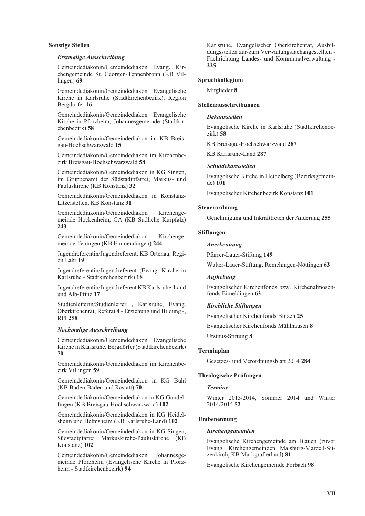#### **Sonstige Stellen**

#### **Erstmalige Ausschreibung**

Gemeindediakonin/Gemeindediakon Evang. Kirchengemeinde St. Georgen-Tennenbronn (KB Vil $lingen)$  69

Gemeindediakonin/Gemeindediakon Evangelische Kirche in Karlsruhe (Stadtkirchenbezirk), Region Bergdörfer 16

Gemeindediakonin/Gemeindediakon Evangelische Kirche in Pforzheim, Johannesgemeinde (Stadtkirchenbezirk) 58

Gemeindediakonin/Gemeindediakon im KB Breisgau-Hochschwarzwald 15

Gemeindediakonin/Gemeindediakon im Kirchenbezirk Breisgau-Hochschwarzwald 58

Gemeindediakonin/Gemeindediakon in KG Singen. im Gruppenamt der Südstadtpfarrei, Markus- und Pauluskirche (KB Konstanz) 32

Gemeindediakonin/Gemeindediakon in Konstanz-Litzelstetten, KB Konstanz 31

Gemeindediakonin/Gemeindediakon Kirchengemeinde Hockenheim, GA (KB Südliche Kurpfalz) 243

Gemeindediakonin/Gemeindediakon Kirchengemeinde Teningen (KB Emmendingen) 244

Jugendreferentin/Jugendreferent, KB Ortenau, Region Lahr 19

Jugendreferentin/Jugendreferent (Evang. Kirche in Karlsruhe - Stadtkirchenbezirk) 18

Jugendreferentin/Jugendreferent KB Karlsruhe-Land und Alb-Pfinz 17

Studienleiterin/Studienleiter, Karlsruhe, Evang. Oberkirchenrat, Referat 4 - Erziehung und Bildung -, **RPI 258** 

#### **Nochmalige Ausschreibung**

Gemeindediakonin/Gemeindediakon Evangelische Kirche in Karlsruhe, Bergdörfer (Stadtkirchenbezirk) 70

Gemeindediakonin/Gemeindediakon im Kirchenbezirk Villingen 59

Gemeindediakonin/Gemeindediakon in KG Bühl (KB Baden-Baden und Rastatt) 70

Gemeindediakonin/Gemeindediakon in KG Gundelfingen (KB Breisgau-Hochschwarzwald) 102

Gemeindediakonin/Gemeindediakon in KG Heidelsheim und Helmsheim (KB Karlsruhe-Land) 102

Gemeindediakonin/Gemeindediakon in KG Singen, Südstadtpfarrei Markuskirche-Pauluskirche (KB Konstanz) 102

Gemeindediakonin/Gemeindediakon Johannesgemeinde Pforzheim (Evangelische Kirche in Pforzheim - Stadtkirchenbezirk) 94

Karlsruhe, Evangelischer Oberkirchenrat, Ausbildungsstellen zur/zum Verwaltungsfachangestellten -Fachrichtung Landes- und Kommunalverwaltung -225

#### Spruchkollegium

Mitglieder 8

#### Stellenausschreibungen

#### **Dekansstellen**

Evangelische Kirche in Karlsruhe (Stadtkirchenbe $zirk$ ) 58

KB Breisgau-Hochschwarzwald 287

KB Karlsruhe-Land 287

#### **Schuldekansstellen**

Evangelische Kirche in Heidelberg (Bezirksgemeinde) 101

Evangelischer Kirchenbezirk Konstanz 101

#### Steuerordnung

Genehmigung und Inkrafttreten der Änderung 255

#### **Stiftungen**

#### **Anerkennung**

Pfarrer-Lauer-Stiftung 149

Walter-Lauer-Stiftung, Remchingen-Nöttingen 63

#### **Aufhebung**

Evangelischer Kirchenfonds bzw. Kirchenalmosenfonds Eimeldingen 63

#### **Kirchliche Stiftungen**

Evangelischer Kirchenfonds Binzen 25

Evangelischer Kirchenfonds Mühlhausen 8

Ursinus-Stiftung 8

#### Terminplan

Gesetzes- und Verordnungsblatt 2014 284

#### **Theologische Prüfungen**

#### Tormino

Winter 2013/2014, Sommer 2014 und Winter 2014/2015 52

#### Umbenennung

#### Kirchengemeinden

Evangelische Kirchengemeinde am Blauen (zuvor Evang. Kirchengemeinden Malsburg-Marzell-Sitzenkirch; KB Markgräflerland) 81

Evangelische Kirchengemeinde Forbach 98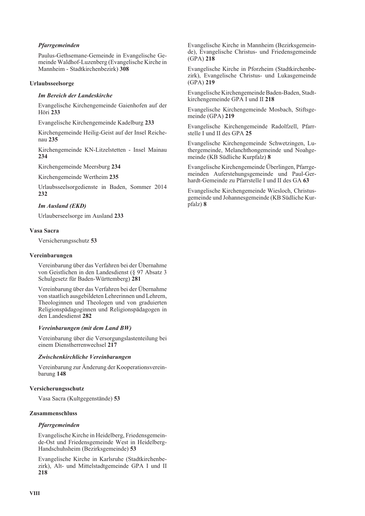#### Pfarrgemeinden

Paulus-Gethsemane-Gemeinde in Evangelische Gemeinde Waldhof-Luzenberg (Evangelische Kirche in Mannheim - Stadtkirchenbezirk) 308

#### Urlaubsseelsorge

#### **Im Bereich der Landeskirche**

Evangelische Kirchengemeinde Gaienhofen auf der **Höri** 233

Evangelische Kirchengemeinde Kadelburg 233

Kirchengemeinde Heilig-Geist auf der Insel Reichenau 235

Kirchengemeinde KN-Litzelstetten - Insel Mainau 234

Kirchengemeinde Meersburg 234

Kirchengemeinde Wertheim 235

Urlaubsseelsorgedienste in Baden, Sommer 2014 232

#### **Im Ausland (EKD)**

Urlauberseelsorge im Ausland 233

#### Vasa Sacra

Versicherungsschutz 53

#### Vereinbarungen

Vereinbarung über das Verfahren bei der Übernahme von Geistlichen in den Landesdienst (§ 97 Absatz 3 Schulgesetz für Baden-Württemberg) 281

Vereinbarung über das Verfahren bei der Übernahme von staatlich ausgebildeten Lehrerinnen und Lehrern, Theologinnen und Theologen und von graduierten Religionspädagoginnen und Religionspädagogen in den Landesdienst 282

#### Vereinbarungen (mit dem Land BW)

Vereinbarung über die Versorgungslastenteilung bei einem Dienstherrenwechsel 217

#### Zwischenkirchliche Vereinbarungen

Vereinbarung zur Änderung der Kooperationsvereinbarung 148

#### Versicherungsschutz

Vasa Sacra (Kultgegenstände) 53

#### Zusammenschluss

#### Pfarrgemeinden

Evangelische Kirche in Heidelberg, Friedensgemeinde-Ost und Friedensgemeinde West in Heidelberg-Handschuhsheim (Bezirksgemeinde) 53

Evangelische Kirche in Karlsruhe (Stadtkirchenbezirk), Alt- und Mittelstadtgemeinde GPA I und II 218

Evangelische Kirche in Mannheim (Bezirksgemeinde). Evangelische Christus- und Friedensgemeinde  $(GPA)$  218

Evangelische Kirche in Pforzheim (Stadtkirchenbezirk), Evangelische Christus- und Lukasgemeinde  $(GPA)$  219

Evangelische Kirchengemeinde Baden-Baden, Stadtkirchengemeinde GPA I und II 218

Evangelische Kirchengemeinde Mosbach, Stiftsgemeinde (GPA) 219

Evangelische Kirchengemeinde Radolfzell, Pfarrstelle I und II des GPA 25

Evangelische Kirchengemeinde Schwetzingen, Luthergemeinde, Melanchthongemeinde und Noahgemeinde (KB Südliche Kurpfalz) 8

Evangelische Kirchengemeinde Überlingen, Pfarrgemeinden Auferstehungsgemeinde und Paul-Gerhardt-Gemeinde zu Pfarrstelle I und II des GA 63

Evangelische Kirchengemeinde Wiesloch, Christusgemeinde und Johannesgemeinde (KB Südliche Kurpfalz) 8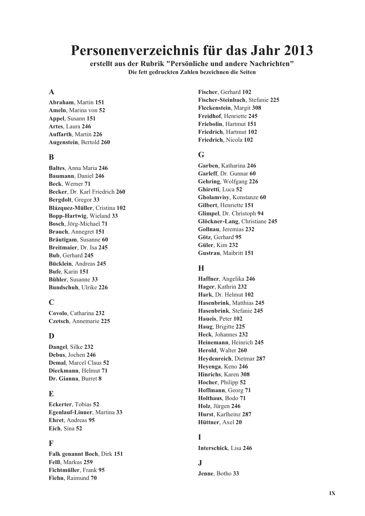## Personenverzeichnis für das Jahr 2013

erstellt aus der Rubrik "Persönliche und andere Nachrichten" Die fett gedruckten Zahlen bezeichnen die Seiten

## $\mathbf{A}$

Abraham, Martin 151 Ameln, Marina von 52 Appel, Susann 151 Artes, Laura 246 **Auffarth, Martin 226** Augenstein, Bertold 260

## $\bf{B}$

Baltes. Anna Maria 246 Baumann, Daniel 246 Beck, Werner 71 Becker, Dr. Karl Friedrich 260 Bergdolt, Gregor 33 Blázquez-Müller, Cristina 102 Bopp-Hartwig, Wieland 33 Bosch, Jörg-Michael 71 Brauch, Annegret 151 Bräutigam, Susanne 60 Breitmaier. Dr. Isa 245 Bub, Gerhard 245 Bücklein, Andreas 245 Bufe, Karin 151 Bühler, Susanne 33 Bundschuh, Ulrike 226

## $\mathbf C$

Covolo, Catharina 232 Czetsch, Annemarie 225

## D

Dangel. Silke 232 Debus. Jochen 246 Demal, Marcel Claus 52 Dieckmann. Helmut 71 Dr. Gianna, Burret 8

## E

Eckerter, Tobias 52 Egenlauf-Linner, Martina 33 Ehret, Andreas 95 Eich. Sina 52

## F

Falk genannt Boch, Dirk 151 Felß, Markus 259 Fichtmüller, Frank 95 Fiehn, Raimund 70

Fischer, Gerhard 102 Fischer-Steinbach, Stefanie 225 Fleckenstein, Margit 308 Freidhof, Henriette 245 Friebolin, Hartmut 151 Friedrich. Hartmut 102 Friedrich, Nicola 102

## G

Garben Katharina 246 Garleff, Dr. Gunnar 60 Gehring, Wolfgang 226 Ghiretti, Luca 52 Gholamvisy, Konstanze 60 Gilbert. Henriette 151 Glimpel, Dr. Christoph 94 Glöckner-Lang, Christiane 245 Gollnau. Jeremias 232 Götz, Gerhard 95 Güler, Kim 232 Gustrau, Maibritt 151

## $\mathbf H$

Haffner, Angelika 246 Hager, Kathrin 232 Hark, Dr. Helmut 102 Hasenbrink. Matthias 245 Hasenbrink, Stefanie 245 Haueis, Peter 102 Haug. Brigitte 225 Heck, Johannes 232 Heinemann. Heinrich 245 Herold. Walter 260 Heydenreich, Dietmar 287 Hevenga, Keno 246 Hinrichs. Karen 308 Hocher, Philipp 52 Hoffmann, Georg 71 Holthaus, Bodo 71 Holz. Jürgen 246 Hurst, Karlheinz 287 Hüttner, Axel 20

## T

Interschick. Lisa 246

## $\mathbf{I}$

Jenne, Botho 33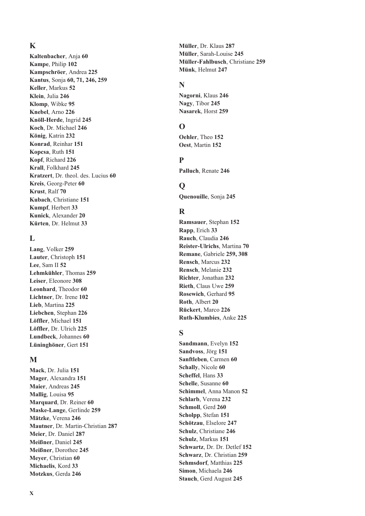## $\mathbf K$

Kaltenbacher, Anja 60 Kampe, Philip 102 Kampschröer. Andrea 225 Kantus, Sonja 60, 71, 246, 259 Keller, Markus 52 Klein, Julia 246 Klomp, Wibke 95 Knebel, Arno 226 Knöll-Herde, Ingrid 245 Koch, Dr. Michael 246 König, Katrin 232 Konrad, Reinhar 151 Kopcsa, Ruth 151 Kopf, Richard 226 Krall, Folkhard 245 Kratzert, Dr. theol. des. Lucius 60 Kreis, Georg-Peter 60 Krust, Ralf 70 Kubach, Christiane 151 Kumpf, Herbert 33 Kunick, Alexander 20 Kürten, Dr. Helmut 33

## L

Lang, Volker 259 Lauter, Christoph 151 Lee, Sam II 52 Lehmkühler, Thomas 259 Leiser, Eleonore 308 Leonhard. Theodor 60 Lichtner, Dr. Irene 102 Lieb, Martina 225 Liebchen. Stephan 226 Löffler, Michael 151 Löffler, Dr. Ulrich 225 Lundbeck, Johannes 60 Lüninghöner, Gert 151

## M

Mack, Dr. Julia 151 Mager, Alexandra 151 Maier, Andreas 245 Mallig, Louisa 95 Marquard, Dr. Reiner 60 Maske-Lange, Gerlinde 259 Mätzke, Verena 246 Mautner, Dr. Martin-Christian 287 Meier, Dr. Daniel 287 Meißner, Daniel 245 Meißner, Dorothee 245 Meyer, Christian 60 Michaelis, Kord 33 Motzkus, Gerda 246

Müller, Dr. Klaus 287 Müller, Sarah-Louise 245 Müller-Fahlbusch, Christiane 259 Münk, Helmut 247

#### N

Nagorni, Klaus 246 Nagy, Tibor 245 Nasarek, Horst 259

## $\Omega$

Oehler, Theo 152 Oest. Martin 152

#### $\mathbf{p}$

Palluch, Renate 246

## $\mathbf 0$

Quenouille, Sonja 245

### $\mathbf R$

Ramsauer, Stephan 152 Rapp, Erich 33 Rauch, Claudia 246 Reister-Ulrichs, Martina 70 Remane, Gabriele 259, 308 Rensch, Marcus 232 Rensch, Melanie 232 Richter, Jonathan 232 Rieth. Claus Uwe 259 Rosewich, Gerhard 95 Roth, Albert 20 Rückert, Marco 226 Ruth-Klumbies, Anke 225

## $\mathbf S$

Sandmann, Evelyn 152 Sandvoss, Jörg 151 Sanftleben. Carmen 60 Schally, Nicole 60 Scheffel, Hans 33 Schelle, Susanne 60 Schimmel, Anna Manon 52 Schlarb. Verena 232 Schmoll, Gerd 260 Scholpp, Stefan 151 Schötzau, Elselore 247 Schulz, Christiane 246 Schulz, Markus 151 Schwartz, Dr. Dr. Detlef 152 Schwarz, Dr. Christian 259 **Sehmsdorf.** Matthias 225 Simon, Michaela 246 Stauch, Gerd August 245